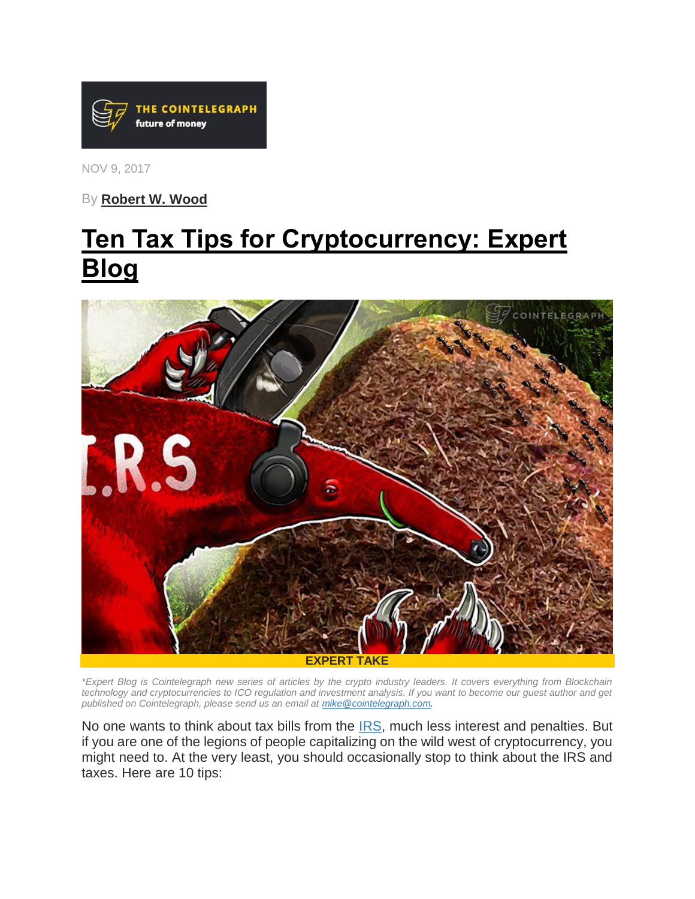

NOV 9, 2017

By **[Robert W. Wood](https://cointelegraph.com/news/irs-hunt-for-cryptocurrency-isnt-going-away-expert-blog)**

# **[Ten Tax Tips for Cryptocurrency: Expert](https://cointelegraph.com/news/ten-tax-tips-for-cryptocurrency-expert-blog)  [Blog](https://cointelegraph.com/news/ten-tax-tips-for-cryptocurrency-expert-blog)**



*\*Expert Blog is Cointelegraph new series of articles by the crypto industry leaders. It covers everything from Blockchain technology and cryptocurrencies to ICO regulation and investment analysis. If you want to become our guest author and get published on Cointelegraph, please send us an email at [mike@cointelegraph.com.](mailto:mike@cointelegraph.com)*

No one wants to think about tax bills from the [IRS,](https://cointelegraph.com/tags/irs) much less interest and penalties. But if you are one of the legions of people capitalizing on the wild west of cryptocurrency, you might need to. At the very least, you should occasionally stop to think about the IRS and taxes. Here are 10 tips: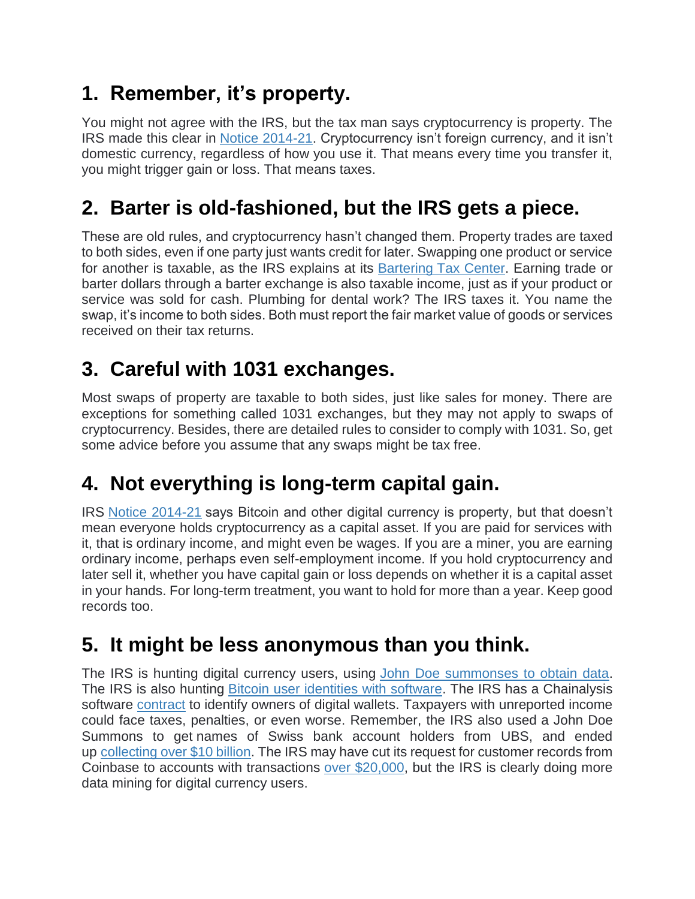## **1. Remember, it's property.**

You might not agree with the IRS, but the tax man says cryptocurrency is property. The IRS made this clear in [Notice 2014-21.](http://www.irs.gov/pub/irs-drop/n-14-21.pdf) Cryptocurrency isn't foreign currency, and it isn't domestic currency, regardless of how you use it. That means every time you transfer it, you might trigger gain or loss. That means taxes.

## **2. Barter is old-fashioned, but the IRS gets a piece.**

These are old rules, and cryptocurrency hasn't changed them. Property trades are taxed to both sides, even if one party just wants credit for later. Swapping one product or service for another is taxable, as the IRS explains at its Bartering [Tax Center.](http://www.irs.gov/Businesses/Small-Businesses-&-Self-Employed/Bartering-Tax-Center) Earning trade or barter dollars through a barter exchange is also taxable income, just as if your product or service was sold for cash. Plumbing for dental work? The IRS taxes it. You name the swap, it's income to both sides. Both must report the fair market value of goods or services received on their tax returns.

## **3. Careful with 1031 exchanges.**

Most swaps of property are taxable to both sides, just like sales for money. There are exceptions for something called 1031 exchanges, but they may not apply to swaps of cryptocurrency. Besides, there are detailed rules to consider to comply with 1031. So, get some advice before you assume that any swaps might be tax free.

### **4. Not everything is long-term capital gain.**

IRS [Notice 2014-21](http://www.irs.gov/pub/irs-drop/n-14-21.pdf) says Bitcoin and other digital currency is property, but that doesn't mean everyone holds cryptocurrency as a capital asset. If you are paid for services with it, that is ordinary income, and might even be wages. If you are a miner, you are earning ordinary income, perhaps even self-employment income. If you hold cryptocurrency and later sell it, whether you have capital gain or loss depends on whether it is a capital asset in your hands. For long-term treatment, you want to hold for more than a year. Keep good records too.

#### **5. It might be less anonymous than you think.**

The IRS is hunting digital currency users, using [John Doe summonses to obtain data.](http://www.forbes.com/sites/robertwood/2016/12/02/bitcoin-users-brace-for-irs-audits-from-coinbase-summons/#165e28081091) The IRS is also hunting [Bitcoin user identities with software.](https://www.forbes.com/sites/robertwood/2017/08/24/irs-hunts-bitcoin-user-identities-with-software-in-tax-enforcement-push/#6649ef8b9cd0) The IRS has a Chainalysis software [contract](https://www.documentcloud.org/documents/3935924-IRS-Chainalysis-Contract.html) to identify owners of digital wallets. Taxpayers with unreported income could face taxes, penalties, or even worse. Remember, the IRS also used a John Doe Summons to get names of Swiss bank account holders from UBS, and ended up [collecting over \\$10 billion.](https://www.forbes.com/sites/robertwood/2016/10/24/irs-offshore-account-collections-top-10-billion-fatca-hunt-continues/#28e91663250f) The IRS may have cut its request for customer records from Coinbase to accounts with transactions [over \\$20,000,](http://fortune.com/2017/07/10/bitcoin-irs-coinbase/) but the IRS is clearly doing more data mining for digital currency users.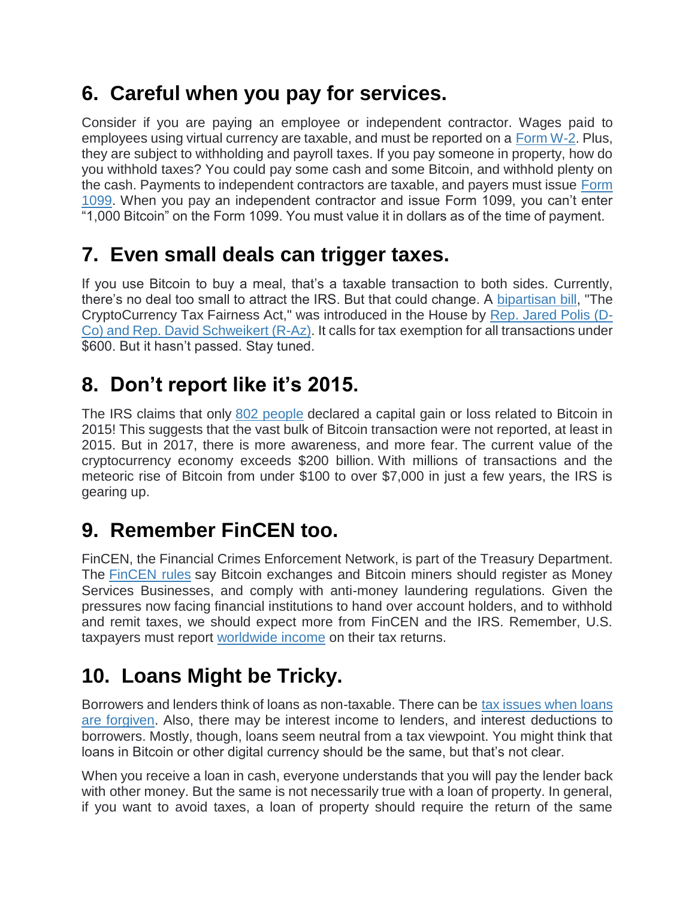### **6. Careful when you pay for services.**

Consider if you are paying an employee or independent contractor. Wages paid to employees using virtual currency are taxable, and must be reported on a [Form W-2.](http://www.irs.gov/pub/irs-pdf/fw2.pdf) Plus, they are subject to withholding and payroll taxes. If you pay someone in property, how do you withhold taxes? You could pay some cash and some Bitcoin, and withhold plenty on the cash. Payments to independent contractors are taxable, and payers must issue [Form](http://www.irs.gov/pub/irs-pdf/f1099msc.pdf)  [1099.](http://www.irs.gov/pub/irs-pdf/f1099msc.pdf) When you pay an independent contractor and issue Form 1099, you can't enter "1,000 Bitcoin" on the Form 1099. You must value it in dollars as of the time of payment.

#### **7. Even small deals can trigger taxes.**

If you use Bitcoin to buy a meal, that's a taxable transaction to both sides. Currently, there's no deal too small to attract the IRS. But that could change. A [bipartisan bill,](https://coincenter.org/pdf/CTFA.pdf) "The CryptoCurrency Tax Fairness Act," was introduced in the House by [Rep. Jared Polis \(D-](https://polis.house.gov/news/documentsingle.aspx?DocumentID=398438)[Co\) and Rep. David Schweikert \(R-Az\).](https://polis.house.gov/news/documentsingle.aspx?DocumentID=398438) It calls for tax exemption for all transactions under \$600. But it hasn't passed. Stay tuned.

### **8. Don't report like it's 2015.**

The IRS claims that only [802 people](https://cointelegraph.com/news/only-802-people-paid-taxes-on-bitcoin-profits-irs-says) declared a capital gain or loss related to Bitcoin in 2015! This suggests that the vast bulk of Bitcoin transaction were not reported, at least in 2015. But in 2017, there is more awareness, and more fear. The current value of the cryptocurrency economy exceeds \$200 billion. With millions of transactions and the meteoric rise of Bitcoin from under \$100 to over \$7,000 in just a few years, the IRS is gearing up.

### **9. Remember FinCEN too.**

FinCEN, the Financial Crimes Enforcement Network, is part of the Treasury Department. The [FinCEN rules](http://www.fincen.gov/news_room/rp/rulings/pdf/FIN-2014-R001.pdf) say Bitcoin exchanges and Bitcoin miners should register as Money Services Businesses, and comply with anti-money laundering regulations. Given the pressures now facing financial institutions to hand over account holders, and to withhold and remit taxes, we should expect more from FinCEN and the IRS. Remember, U.S. taxpayers must report [worldwide income](http://www.irs.gov/businesses/article/0,,id=180946,00.html) on their tax returns.

### **10. Loans Might be Tricky.**

Borrowers and lenders think of loans as non-taxable. There can be [tax issues when loans](https://www.forbes.com/sites/robertwood/2013/12/03/sure-loans-arent-income-convincing-irs-it-was-a-loan-priceless/#5d13ad586686)  [are forgiven.](https://www.forbes.com/sites/robertwood/2013/12/03/sure-loans-arent-income-convincing-irs-it-was-a-loan-priceless/#5d13ad586686) Also, there may be interest income to lenders, and interest deductions to borrowers. Mostly, though, loans seem neutral from a tax viewpoint. You might think that loans in Bitcoin or other digital currency should be the same, but that's not clear.

When you receive a loan in cash, everyone understands that you will pay the lender back with other money. But the same is not necessarily true with a loan of property. In general, if you want to avoid taxes, a loan of property should require the return of the same